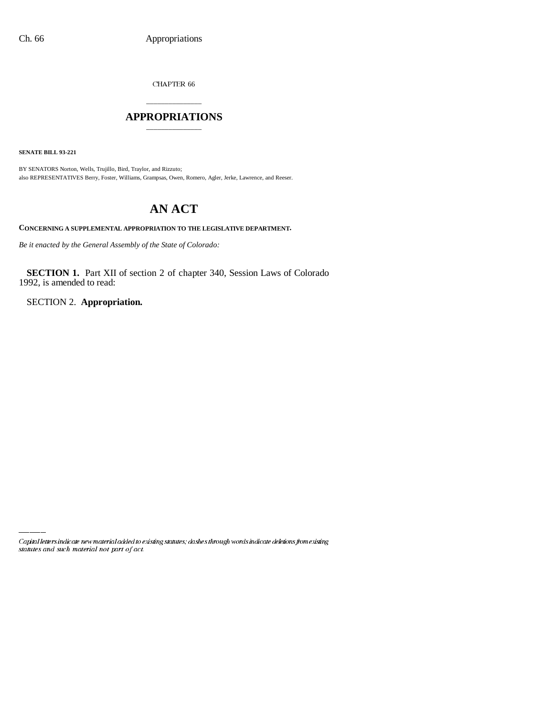CHAPTER 66

# \_\_\_\_\_\_\_\_\_\_\_\_\_\_\_ **APPROPRIATIONS** \_\_\_\_\_\_\_\_\_\_\_\_\_\_\_

**SENATE BILL 93-221**

BY SENATORS Norton, Wells, Trujillo, Bird, Traylor, and Rizzuto; also REPRESENTATIVES Berry, Foster, Williams, Grampsas, Owen, Romero, Agler, Jerke, Lawrence, and Reeser.

# **AN ACT**

**CONCERNING A SUPPLEMENTAL APPROPRIATION TO THE LEGISLATIVE DEPARTMENT.**

*Be it enacted by the General Assembly of the State of Colorado:*

**SECTION 1.** Part XII of section 2 of chapter 340, Session Laws of Colorado 1992, is amended to read:

SECTION 2. **Appropriation.**

Capital letters indicate new material added to existing statutes; dashes through words indicate deletions from existing statutes and such material not part of act.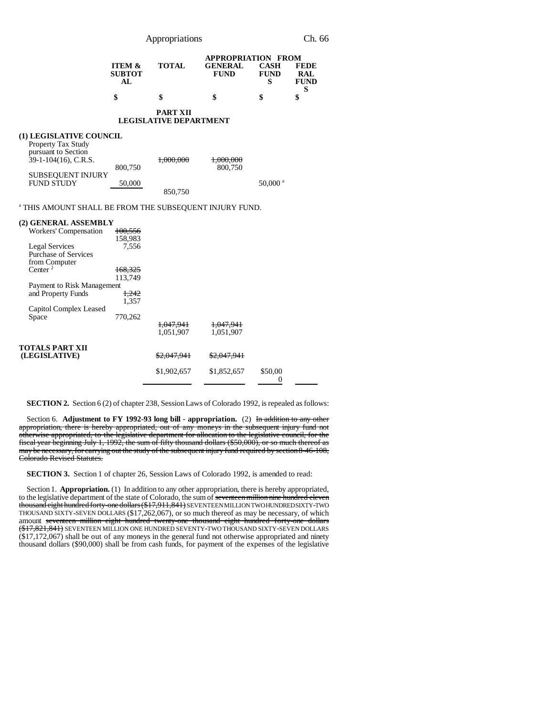|                                                                                                                                                                                                                                      | Appropriations                                                                 |                                                  |                                                            |                                 | Ch. 66                                        |  |
|--------------------------------------------------------------------------------------------------------------------------------------------------------------------------------------------------------------------------------------|--------------------------------------------------------------------------------|--------------------------------------------------|------------------------------------------------------------|---------------------------------|-----------------------------------------------|--|
|                                                                                                                                                                                                                                      | <b>ITEM &amp;</b><br><b>SUBTOT</b><br>AL                                       | <b>TOTAL</b>                                     | <b>APPROPRIATION FROM</b><br><b>GENERAL</b><br><b>FUND</b> | <b>CASH</b><br><b>FUND</b><br>S | <b>FEDE</b><br><b>RAL</b><br><b>FUND</b><br>S |  |
|                                                                                                                                                                                                                                      | \$                                                                             | \$                                               | \$                                                         | \$                              | \$                                            |  |
|                                                                                                                                                                                                                                      |                                                                                | <b>PART XII</b><br><b>LEGISLATIVE DEPARTMENT</b> |                                                            |                                 |                                               |  |
| (1) LEGISLATIVE COUNCIL<br>Property Tax Study<br>pursuant to Section<br>39-1-104(16), C.R.S.<br><b>SUBSEQUENT INJURY</b><br><b>FUND STUDY</b>                                                                                        | 800,750<br>50,000                                                              | 1,000,000<br>850,750                             | 1,000,000<br>800,750                                       | 50,000 <sup>a</sup>             |                                               |  |
| <sup>a</sup> THIS AMOUNT SHALL BE FROM THE SUBSEQUENT INJURY FUND.                                                                                                                                                                   |                                                                                |                                                  |                                                            |                                 |                                               |  |
| (2) GENERAL ASSEMBLY<br>Workers' Compensation<br><b>Legal Services</b><br><b>Purchase of Services</b><br>from Computer<br>Center <sup>2</sup><br>Payment to Risk Management<br>and Property Funds<br>Capitol Complex Leased<br>Space | 100,556<br>158,983<br>7,556<br>168,325<br>113,749<br>1,242<br>1,357<br>770,262 |                                                  |                                                            |                                 |                                               |  |
| <b>TOTALS PART XII</b><br>(LEGISLATIVE)                                                                                                                                                                                              |                                                                                | 1,047,941<br>1,051,907<br>\$2,047,941            | 1,047,941<br>1,051,907<br>\$2,047,941                      |                                 |                                               |  |
|                                                                                                                                                                                                                                      |                                                                                | \$1,902,657                                      | \$1,852,657                                                | \$50,00<br>0                    |                                               |  |

**SECTION 2.** Section 6 (2) of chapter 238, Session Laws of Colorado 1992, is repealed as follows:

Section 6. **Adjustment to FY 1992-93 long bill - appropriation.** (2) In addition to any other appropriation, there is hereby appropriated, out of any moneys in the subsequent injury fund not otherwise appropriated, to the legislative department for allocation to the legislative council, for the fiscal year beginning July 1, 1992, the sum of fifty thousand dollars (\$50,000), or so much thereof as may be necessary, for carrying out the study of the subsequent injury fund required by section 8-46-108, Colorado Revised Statutes.

**SECTION 3.** Section 1 of chapter 26, Session Laws of Colorado 1992, is amended to read:

Section 1. **Appropriation.** (1) In addition to any other appropriation, there is hereby appropriated, to the legislative department of the state of Colorado, the sum of seventeen million nine hundred eleven thousand eight hundred forty-one dollars (\$17,911,841) SEVENTEEN MILLION TWO HUNDRED SIXTY-TWO THOUSAND SIXTY-SEVEN DOLLARS (\$17,262,067), or so much thereof as may be necessary, of which amount seventeen million eight hundred twenty-one thousand eight hundred forty-one dollars (\$17,821,841) SEVENTEEN MILLION ONE HUNDRED SEVENTY-TWO THOUSAND SIXTY-SEVEN DOLLARS (\$17,172,067) shall be out of any moneys in the general fund not otherwise appropriated and ninety thousand dollars (\$90,000) shall be from cash funds, for payment of the expenses of the legislative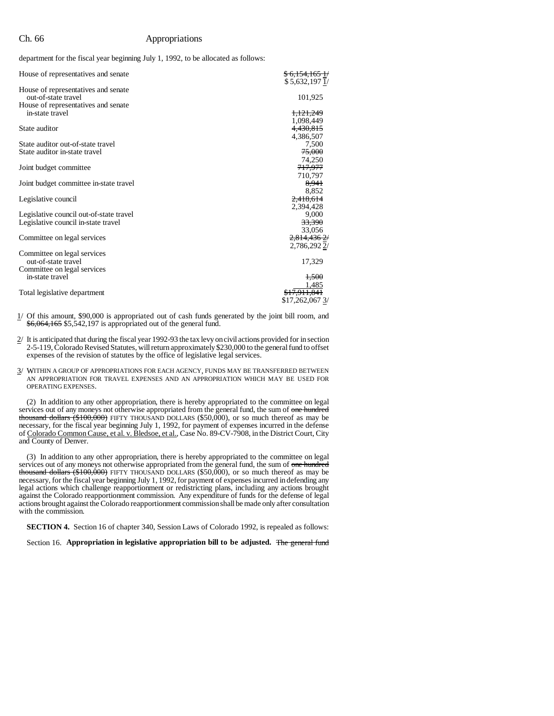### Ch. 66 Appropriations

department for the fiscal year beginning July 1, 1992, to be allocated as follows:

| House of representatives and senate                                            | \$6,154,1651/<br>\$5,632,1971/      |
|--------------------------------------------------------------------------------|-------------------------------------|
| House of representatives and senate<br>out-of-state travel                     | 101,925                             |
| House of representatives and senate<br>in-state travel                         | <del>1,121,249</del>                |
| State auditor                                                                  | 1,098,449<br>4,430,815<br>4,386,507 |
| State auditor out-of-state travel<br>State auditor in-state travel             | 7,500<br>75,000                     |
| Joint budget committee                                                         | 74,250<br><del>717,977</del>        |
| Joint budget committee in-state travel                                         | 710,797<br>8,941<br>8,852           |
| Legislative council                                                            | 2,418,614<br>2,394,428              |
| Legislative council out-of-state travel<br>Legislative council in-state travel | 9.000<br>33,390                     |
| Committee on legal services                                                    | 33,056<br>2,814,4362/               |
| Committee on legal services<br>out-of-state travel                             | 2,786,2922/<br>17,329               |
| Committee on legal services<br>in-state travel                                 | 1,500                               |
| Total legislative department                                                   | 1.485<br>\$17.262.067 3/            |

1/ Of this amount, \$90,000 is appropriated out of cash funds generated by the joint bill room, and \$6,064,165 \$5,542,197 is appropriated out of the general fund.

- 2/ It is anticipated that during the fiscal year 1992-93 the tax levy on civil actions provided for in section 2-5-119, Colorado Revised Statutes, will return approximately \$230,000 to the general fund to offset expenses of the revision of statutes by the office of legislative legal services.
- 3/ WITHIN A GROUP OF APPROPRIATIONS FOR EACH AGENCY, FUNDS MAY BE TRANSFERRED BETWEEN AN APPROPRIATION FOR TRAVEL EXPENSES AND AN APPROPRIATION WHICH MAY BE USED FOR OPERATING EXPENSES.

(2) In addition to any other appropriation, there is hereby appropriated to the committee on legal services out of any moneys not otherwise appropriated from the general fund, the sum of one hundred thousand dollars  $(*100,000)$  FIFTY THOUSAND DOLLARS (\$50,000), or so much thereof as may be necessary, for the fiscal year beginning July 1, 1992, for payment of expenses incurred in the defense of Colorado Common Cause, et al. v. Bledsoe, et al., Case No. 89-CV-7908, in the District Court, City and County of Denver.

(3) In addition to any other appropriation, there is hereby appropriated to the committee on legal services out of any moneys not otherwise appropriated from the general fund, the sum of one hundred thousand dollars (\$100,000) FIFTY THOUSAND DOLLARS (\$50,000), or so much thereof as may be necessary, for the fiscal year beginning July 1, 1992, for payment of expenses incurred in defending any legal actions which challenge reapportionment or redistricting plans, including any actions brought against the Colorado reapportionment commission. Any expenditure of funds for the defense of legal actions brought against the Colorado reapportionment commission shall be made only after consultation with the commission.

**SECTION 4.** Section 16 of chapter 340, Session Laws of Colorado 1992, is repealed as follows:

Section 16. **Appropriation in legislative appropriation bill to be adjusted.** The general fund